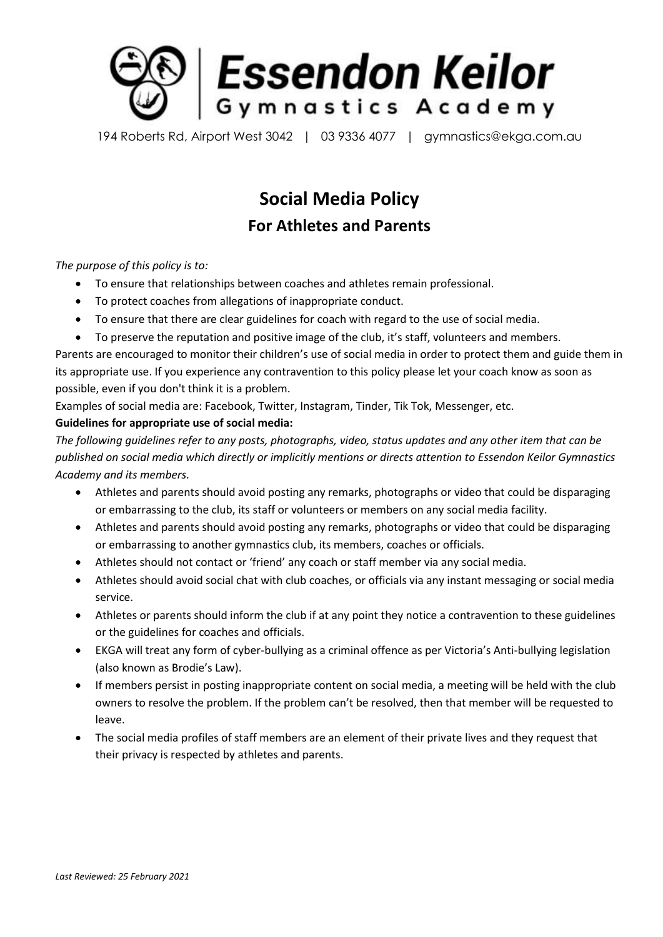

194 Roberts Rd, Airport West 3042 | 03 9336 4077 | gymnastics@ekga.com.au

## **Social Media Policy For Athletes and Parents**

*The purpose of this policy is to:*

- To ensure that relationships between coaches and athletes remain professional.
- To protect coaches from allegations of inappropriate conduct.
- To ensure that there are clear guidelines for coach with regard to the use of social media.
- To preserve the reputation and positive image of the club, it's staff, volunteers and members.

Parents are encouraged to monitor their children's use of social media in order to protect them and guide them in its appropriate use. If you experience any contravention to this policy please let your coach know as soon as possible, even if you don't think it is a problem.

Examples of social media are: Facebook, Twitter, Instagram, Tinder, Tik Tok, Messenger, etc.

## **Guidelines for appropriate use of social media:**

*The following guidelines refer to any posts, photographs, video, status updates and any other item that can be published on social media which directly or implicitly mentions or directs attention to Essendon Keilor Gymnastics Academy and its members.* 

- Athletes and parents should avoid posting any remarks, photographs or video that could be disparaging or embarrassing to the club, its staff or volunteers or members on any social media facility.
- Athletes and parents should avoid posting any remarks, photographs or video that could be disparaging or embarrassing to another gymnastics club, its members, coaches or officials.
- Athletes should not contact or 'friend' any coach or staff member via any social media.
- Athletes should avoid social chat with club coaches, or officials via any instant messaging or social media service.
- Athletes or parents should inform the club if at any point they notice a contravention to these guidelines or the guidelines for coaches and officials.
- EKGA will treat any form of cyber-bullying as a criminal offence as per Victoria's Anti-bullying legislation (also known as Brodie's Law).
- If members persist in posting inappropriate content on social media, a meeting will be held with the club owners to resolve the problem. If the problem can't be resolved, then that member will be requested to leave.
- The social media profiles of staff members are an element of their private lives and they request that their privacy is respected by athletes and parents.